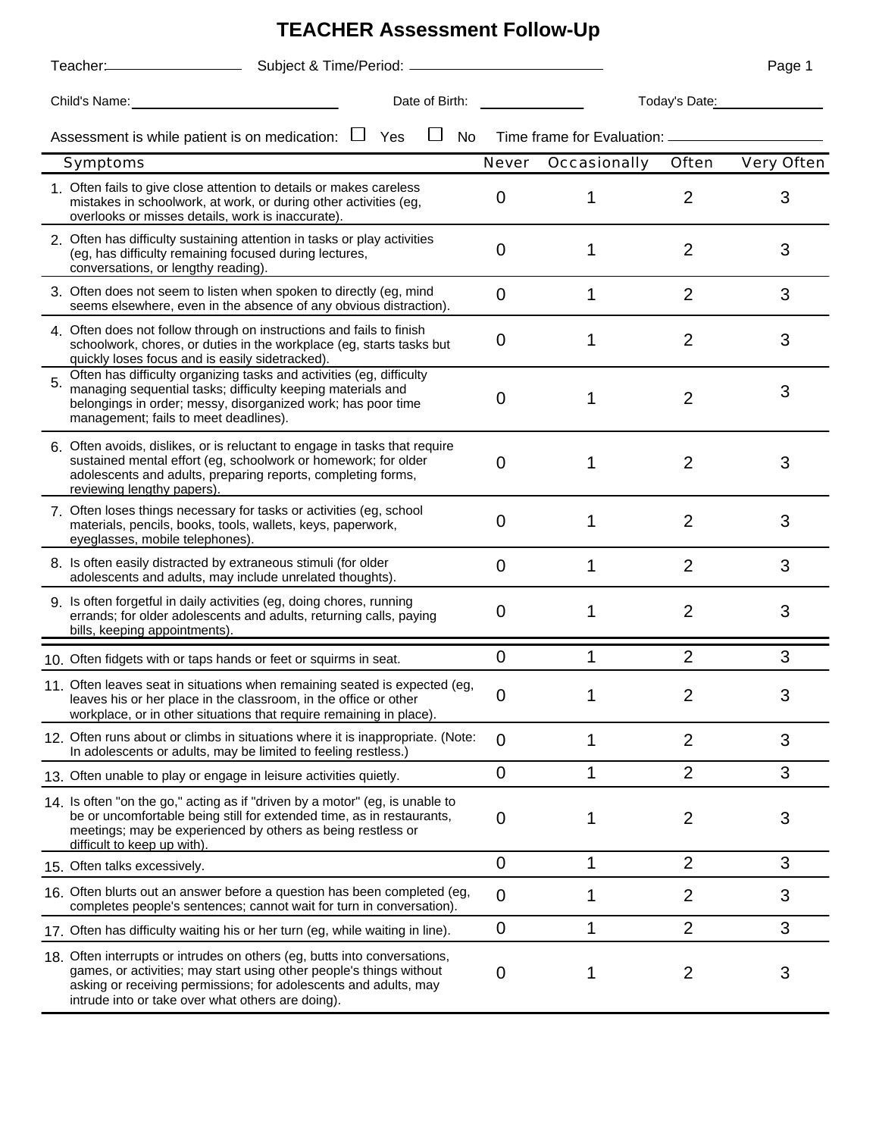## **TEACHER Assessment Follow-Up**

|    |                                                                                                                                                                                                                                                                           |                |                                     |                | Page 1     |
|----|---------------------------------------------------------------------------------------------------------------------------------------------------------------------------------------------------------------------------------------------------------------------------|----------------|-------------------------------------|----------------|------------|
|    | Child's Name: Name: Name: Name: Name: Name: Name: Name: Name: Name: Name: Name: Name: Name: Name: Name: Name: Name: Name: Name: Name: Name: Name: Name: Name: Name: Name: Name: Name: Name: Name: Name: Name: Name: Name: Name<br>Date of Birth:                          |                | Today's Date:                       |                |            |
|    | Assessment is while patient is on medication: $\Box$<br>Yes<br>No                                                                                                                                                                                                         |                | Time frame for Evaluation: ________ |                |            |
|    | Symptoms                                                                                                                                                                                                                                                                  | <b>Never</b>   | Occasionally                        | Often          | Very Often |
|    | 1. Often fails to give close attention to details or makes careless<br>mistakes in schoolwork, at work, or during other activities (eg,<br>overlooks or misses details, work is inaccurate).                                                                              | 0              |                                     | $\overline{2}$ | 3          |
|    | 2. Often has difficulty sustaining attention in tasks or play activities<br>(eg, has difficulty remaining focused during lectures,<br>conversations, or lengthy reading).                                                                                                 | 0              |                                     | $\overline{2}$ | 3          |
|    | 3. Often does not seem to listen when spoken to directly (eg, mind<br>seems elsewhere, even in the absence of any obvious distraction).                                                                                                                                   | 0              | 1                                   | $\overline{2}$ | 3          |
|    | 4. Often does not follow through on instructions and fails to finish<br>schoolwork, chores, or duties in the workplace (eg, starts tasks but<br>quickly loses focus and is easily sidetracked).                                                                           | 0              |                                     | $\overline{2}$ | 3          |
| 5. | Often has difficulty organizing tasks and activities (eg, difficulty<br>managing sequential tasks; difficulty keeping materials and<br>belongings in order; messy, disorganized work; has poor time<br>management; fails to meet deadlines).                              | 0              | 1                                   | $\overline{2}$ | 3          |
|    | 6. Often avoids, dislikes, or is reluctant to engage in tasks that require<br>sustained mental effort (eg, schoolwork or homework; for older<br>adolescents and adults, preparing reports, completing forms,<br>reviewing lengthy papers).                                | 0              |                                     | $\overline{2}$ | 3          |
|    | 7. Often loses things necessary for tasks or activities (eg, school<br>materials, pencils, books, tools, wallets, keys, paperwork,<br>eyeglasses, mobile telephones).                                                                                                     | 0              |                                     | $\overline{2}$ | 3          |
|    | 8. Is often easily distracted by extraneous stimuli (for older<br>adolescents and adults, may include unrelated thoughts).                                                                                                                                                | 0              | 1                                   | $\overline{2}$ | 3          |
|    | 9. Is often forgetful in daily activities (eg, doing chores, running<br>errands; for older adolescents and adults, returning calls, paying<br>bills, keeping appointments).                                                                                               | 0              |                                     | $\overline{2}$ | 3          |
|    | 10. Often fidgets with or taps hands or feet or squirms in seat.                                                                                                                                                                                                          | 0              |                                     | $\overline{2}$ | 3          |
|    | 11 Often leaves seat in situations when remaining seated is expected (eg.<br>leaves his or her place in the classroom, in the office or other<br>workplace, or in other situations that require remaining in place).                                                      | 0              |                                     |                | 3          |
|    | 12. Often runs about or climbs in situations where it is inappropriate. (Note:<br>In adolescents or adults, may be limited to feeling restless.)                                                                                                                          | $\overline{0}$ | 1                                   | $\overline{2}$ | 3          |
|    | 13. Often unable to play or engage in leisure activities quietly.                                                                                                                                                                                                         | $\overline{0}$ | 1                                   | $\overline{2}$ | 3          |
|    | 14. Is often "on the go," acting as if "driven by a motor" (eg, is unable to<br>be or uncomfortable being still for extended time, as in restaurants,<br>meetings; may be experienced by others as being restless or<br>difficult to keep up with).                       | 0              |                                     | 2              | 3          |
|    | 15 Often talks excessively.                                                                                                                                                                                                                                               | $\mathbf 0$    | 1                                   | $\overline{2}$ | 3          |
|    | 16. Often blurts out an answer before a question has been completed (eg,<br>completes people's sentences; cannot wait for turn in conversation).                                                                                                                          | 0              | 1                                   | $\overline{2}$ | 3          |
|    | 17. Often has difficulty waiting his or her turn (eg, while waiting in line).                                                                                                                                                                                             | 0              | 1                                   | $\overline{2}$ | 3          |
|    | 18. Often interrupts or intrudes on others (eg, butts into conversations,<br>games, or activities; may start using other people's things without<br>asking or receiving permissions; for adolescents and adults, may<br>intrude into or take over what others are doing). | 0              |                                     | 2              | 3          |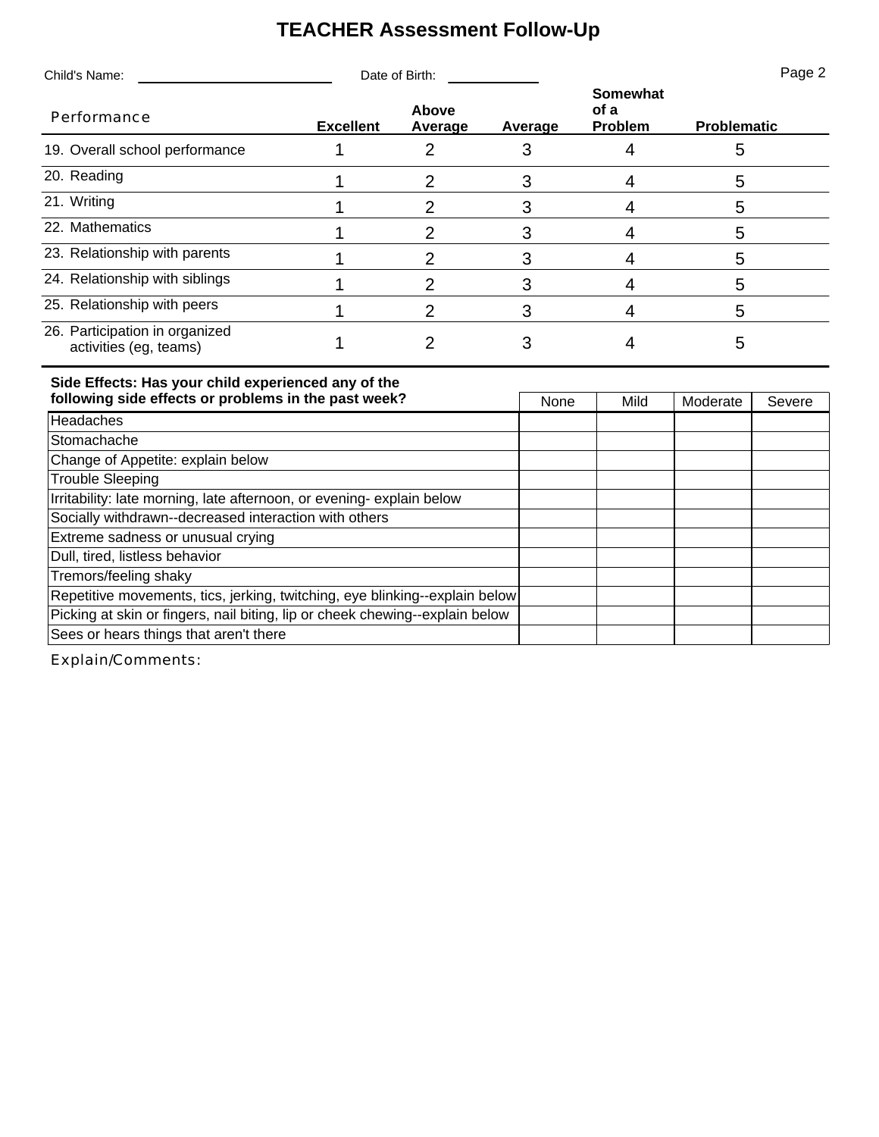## **TEACHER Assessment Follow-Up**

| Child's Name:                                            | Date of Birth:                       |  |         |                                    | Page 2             |  |
|----------------------------------------------------------|--------------------------------------|--|---------|------------------------------------|--------------------|--|
| Performance                                              | Above<br><b>Excellent</b><br>Average |  | Average | <b>Somewhat</b><br>of a<br>Problem | <b>Problematic</b> |  |
| 19. Overall school performance                           |                                      |  |         |                                    | 5                  |  |
| 20. Reading                                              |                                      |  |         |                                    | 5                  |  |
| 21. Writing                                              |                                      |  |         |                                    | 5                  |  |
| 22. Mathematics                                          |                                      |  |         |                                    | 5                  |  |
| 23. Relationship with parents                            |                                      |  |         |                                    | 5                  |  |
| 24. Relationship with siblings                           |                                      |  |         |                                    | 5                  |  |
| 25. Relationship with peers                              |                                      |  |         |                                    | 5                  |  |
| 26. Participation in organized<br>activities (eg, teams) |                                      |  |         |                                    | 5                  |  |

## **Side Effects: Has your child experienced any of the**

| following side effects or problems in the past week?                         | None | Mild | Moderate | Severe |
|------------------------------------------------------------------------------|------|------|----------|--------|
| Headaches                                                                    |      |      |          |        |
| Stomachache                                                                  |      |      |          |        |
| Change of Appetite: explain below                                            |      |      |          |        |
| <b>Trouble Sleeping</b>                                                      |      |      |          |        |
| Irritability: late morning, late afternoon, or evening- explain below        |      |      |          |        |
| Socially withdrawn--decreased interaction with others                        |      |      |          |        |
| Extreme sadness or unusual crying                                            |      |      |          |        |
| Dull, tired, listless behavior                                               |      |      |          |        |
| Tremors/feeling shaky                                                        |      |      |          |        |
| Repetitive movements, tics, jerking, twitching, eye blinking--explain below  |      |      |          |        |
| Picking at skin or fingers, nail biting, lip or cheek chewing--explain below |      |      |          |        |
| Sees or hears things that aren't there                                       |      |      |          |        |

Explain/Comments: